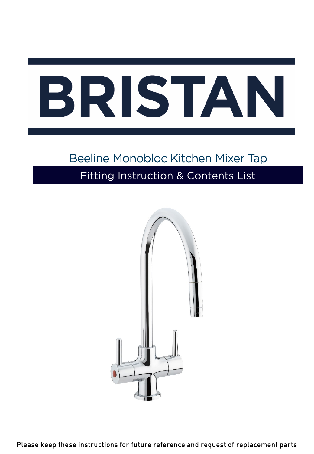## Beeline Monobloc Kitchen Mixer Tap Fitting Instruction & Contents List



Please keep these instructions for future reference and request of replacement parts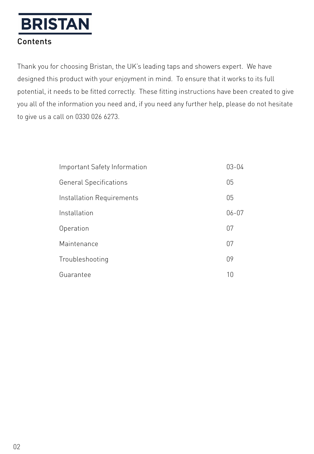## Contents

Thank you for choosing Bristan, the UK's leading taps and showers expert. We have designed this product with your enjoyment in mind. To ensure that it works to its full potential, it needs to be fitted correctly. These fitting instructions have been created to give you all of the information you need and, if you need any further help, please do not hesitate to give us a call on 0330 026 6273.

| Important Safety Information  |           |
|-------------------------------|-----------|
| <b>General Specifications</b> | 05        |
| Installation Requirements     | 05        |
| Installation                  | $06 - 07$ |
| Operation                     | 07        |
| Maintenance                   | 07        |
| Troubleshooting               | 09        |
| Guarantee                     | 10        |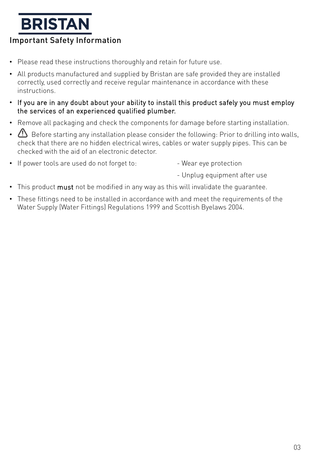## **BRISTAN** Important Safety Information

- Please read these instructions thoroughly and retain for future use.
- All products manufactured and supplied by Bristan are safe provided they are installed correctly, used correctly and receive regular maintenance in accordance with these instructions.
- If you are in any doubt about your ability to install this product safely you must employ the services of an experienced qualified plumber.
- Remove all packaging and check the components for damage before starting installation.
- $\bigoplus$  Before starting any installation please consider the following: Prior to drilling into walls, check that there are no hidden electrical wires, cables or water supply pipes. This can be checked with the aid of an electronic detector.
- If power tools are used do not forget to:  $\overline{\phantom{a}}$  Wear eye protection
	-
	- Unplug equipment after use
- This product must not be modified in any way as this will invalidate the quarantee.
- These fittings need to be installed in accordance with and meet the requirements of the Water Supply (Water Fittings) Regulations 1999 and Scottish Byelaws 2004.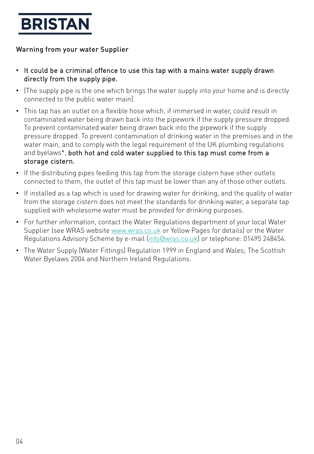#### Warning from your water Supplier

- It could be a criminal offence to use this tap with a mains water supply drawn directly from the supply pipe.
- (The supply pipe is the one which brings the water supply into your home and is directly connected to the public water main).
- This tap has an outlet on a flexible hose which, if immersed in water, could result in contaminated water being drawn back into the pipework if the supply pressure dropped. To prevent contaminated water being drawn back into the pipework if the supply pressure dropped. To prevent contamination of drinking water in the premises and in the water main, and to comply with the legal requirement of the UK plumbing regulations and byelaws\*, both hot and cold water supplied to this tap must come from a storage cistern.
- If the distributing pipes feeding this tap from the storage cistern have other outlets connected to them, the outlet of this tap must be lower than any of those other outlets.
- If installed as a tap which is used for drawing water for drinking, and the quality of water from the storage cistern does not meet the standards for drinking water, a separate tap supplied with wholesome water must be provided for drinking purposes.
- For further information, contact the Water Regulations department of your local Water Supplier (see WRAS website [www.wras.co.uk](http://www.wras.co.uk/) or Yellow Pages for details) or the Water Regulations Advisory Scheme by e-mail [\(info@wras.co.uk\)](mailto:info@wras.co.uk) or telephone: 01495 248454.
- The Water Supply (Water Fittings) Regulation 1999 in England and Wales; The Scottish Water Byelaws 2004 and Northern Ireland Regulations.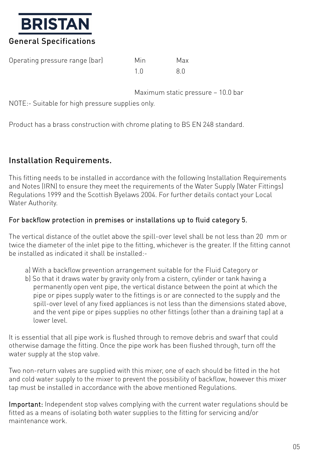

| Operating pressure range (bar) | Min | Max |
|--------------------------------|-----|-----|
|                                |     | 8 N |

Maximum static pressure – 10.0 bar

NOTE:- Suitable for high pressure supplies only.

Product has a brass construction with chrome plating to BS EN 248 standard.

## Installation Requirements.

This fitting needs to be installed in accordance with the following Installation Requirements and Notes (IRN) to ensure they meet the requirements of the Water Supply (Water Fittings) Regulations 1999 and the Scottish Byelaws 2004. For further details contact your Local Water Authority.

#### For backflow protection in premises or installations up to fluid category 5.

The vertical distance of the outlet above the spill-over level shall be not less than 20 mm or twice the diameter of the inlet pipe to the fitting, whichever is the greater. If the fitting cannot be installed as indicated it shall be installed:-

- a) With a backflow prevention arrangement suitable for the Fluid Category or
- b) So that it draws water by gravity only from a cistern, cylinder or tank having a permanently open vent pipe, the vertical distance between the point at which the pipe or pipes supply water to the fittings is or are connected to the supply and the spill-over level of any fixed appliances is not less than the dimensions stated above, and the vent pipe or pipes supplies no other fittings (other than a draining tap) at a lower level.

It is essential that all pipe work is flushed through to remove debris and swarf that could otherwise damage the fitting. Once the pipe work has been flushed through, turn off the water supply at the stop valve.

Two non-return valves are supplied with this mixer, one of each should be fitted in the hot and cold water supply to the mixer to prevent the possibility of backflow, however this mixer tap must be installed in accordance with the above mentioned Regulations.

Important: Independent stop valves complying with the current water regulations should be fitted as a means of isolating both water supplies to the fitting for servicing and/or maintenance work.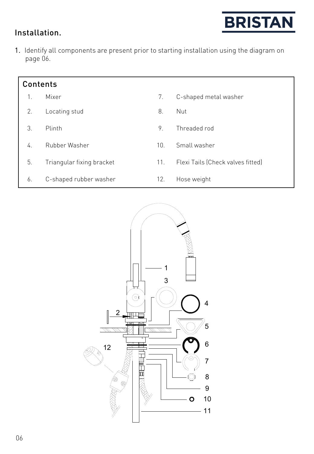

## Installation.

1. Identify all components are present prior to starting installation using the diagram on page 06.

| <b>Contents</b> |                           |     |                                   |  |  |
|-----------------|---------------------------|-----|-----------------------------------|--|--|
| 1.              | Mixer                     | 7.  | C-shaped metal washer             |  |  |
| 2.              | Locating stud             | 8.  | Nut                               |  |  |
| 3.              | Plinth                    | 9.  | Threaded rod                      |  |  |
| 4.              | Rubber Washer             | 10. | Small washer                      |  |  |
| 5.              | Triangular fixing bracket | 11. | Flexi Tails (Check valves fitted) |  |  |
| 6.              | C-shaped rubber washer    | 12. | Hose weight                       |  |  |

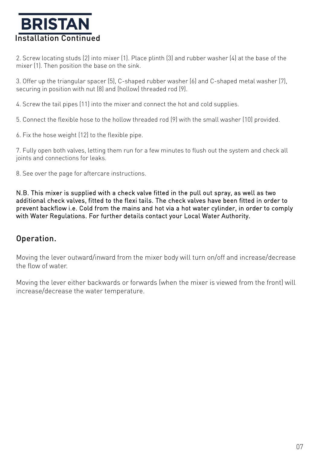## **BRISTAN** Installation Continued

2. Screw locating studs (2) into mixer (1). Place plinth (3) and rubber washer (4) at the base of the mixer (1). Then position the base on the sink.

3. Offer up the triangular spacer (5), C-shaped rubber washer (6) and C-shaped metal washer (7), securing in position with nut (8) and (hollow) threaded rod (9).

4. Screw the tail pipes (11) into the mixer and connect the hot and cold supplies.

5. Connect the flexible hose to the hollow threaded rod (9) with the small washer (10) provided.

6. Fix the hose weight (12) to the flexible pipe.

7. Fully open both valves, letting them run for a few minutes to flush out the system and check all joints and connections for leaks.

8. See over the page for aftercare instructions.

N.B. This mixer is supplied with a check valve fitted in the pull out spray, as well as two additional check valves, fitted to the flexi tails. The check valves have been fitted in order to prevent backflow i.e. Cold from the mains and hot via a hot water cylinder, in order to comply with Water Regulations. For further details contact your Local Water Authority.

### Operation.

Moving the lever outward/inward from the mixer body will turn on/off and increase/decrease the flow of water.

Moving the lever either backwards or forwards (when the mixer is viewed from the front) will increase/decrease the water temperature.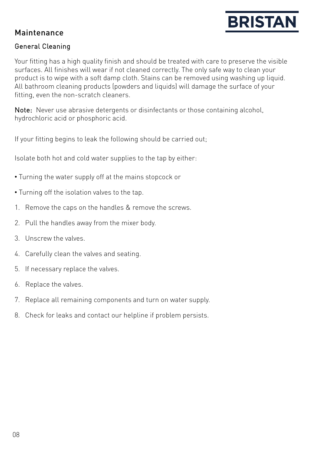

## Maintenance

#### General Cleaning

Your fitting has a high quality finish and should be treated with care to preserve the visible surfaces. All finishes will wear if not cleaned correctly. The only safe way to clean your product is to wipe with a soft damp cloth. Stains can be removed using washing up liquid. All bathroom cleaning products (powders and liquids) will damage the surface of your fitting, even the non-scratch cleaners.

Note: Never use abrasive detergents or disinfectants or those containing alcohol, hydrochloric acid or phosphoric acid.

If your fitting begins to leak the following should be carried out;

Isolate both hot and cold water supplies to the tap by either:

- Turning the water supply off at the mains stopcock or
- Turning off the isolation valves to the tap.
- 1. Remove the caps on the handles & remove the screws.
- 2. Pull the handles away from the mixer body.
- 3. Unscrew the valves.
- 4. Carefully clean the valves and seating.
- 5. If necessary replace the valves.
- 6. Replace the valves.
- 7. Replace all remaining components and turn on water supply.
- 8. Check for leaks and contact our helpline if problem persists.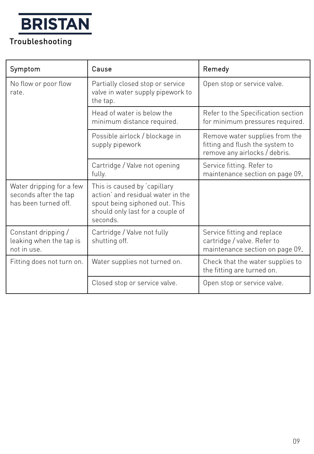## Troubleshooting

| Symptom                                                                   | Cause                                                                                                                                              | Remedy                                                                                             |
|---------------------------------------------------------------------------|----------------------------------------------------------------------------------------------------------------------------------------------------|----------------------------------------------------------------------------------------------------|
| No flow or poor flow<br>rate.                                             | Partially closed stop or service<br>valve in water supply pipework to<br>the tap.                                                                  | Open stop or service valve.                                                                        |
|                                                                           | Head of water is below the<br>minimum distance required.                                                                                           | Refer to the Specification section<br>for minimum pressures required.                              |
|                                                                           | Possible airlock / blockage in<br>supply pipework                                                                                                  | Remove water supplies from the<br>fitting and flush the system to<br>remove any airlocks / debris. |
|                                                                           | Cartridge / Valve not opening<br>fully.                                                                                                            | Service fitting. Refer to<br>maintenance section on page 09.                                       |
| Water dripping for a few<br>seconds after the tap<br>has been turned off. | This is caused by capillary<br>action' and residual water in the<br>spout being siphoned out. This<br>should only last for a couple of<br>seconds. |                                                                                                    |
| Constant dripping /<br>leaking when the tap is<br>not in use.             | Cartridge / Valve not fully<br>shutting off.                                                                                                       | Service fitting and replace<br>cartridge / valve. Refer to<br>maintenance section on page 09.      |
| Fitting does not turn on.                                                 | Water supplies not turned on.                                                                                                                      | Check that the water supplies to<br>the fitting are turned on.                                     |
|                                                                           | Closed stop or service valve.                                                                                                                      | Open stop or service valve.                                                                        |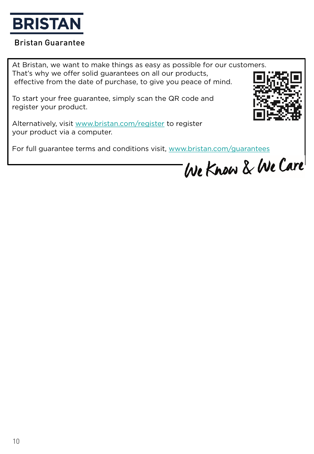

### Bristan Guarantee

At Bristan, we want to make things as easy as possible for our customers. That's why we offer solid guarantees on all our products, effective from the date of purchase, to give you peace of mind.

To start your free guarantee, simply scan the QR code and register your product.



Alternatively, visit [www.bristan.com/register](http://www.bristan.com/register) to register your product via a computer.

For full guarantee terms and conditions visit, [www.bristan.com/guarantees](http://www.bristan.com/guarantees)

We Know & We Care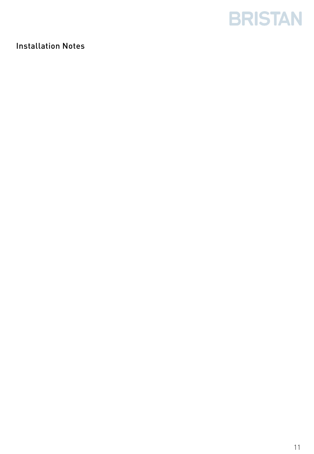

## Installation Notes